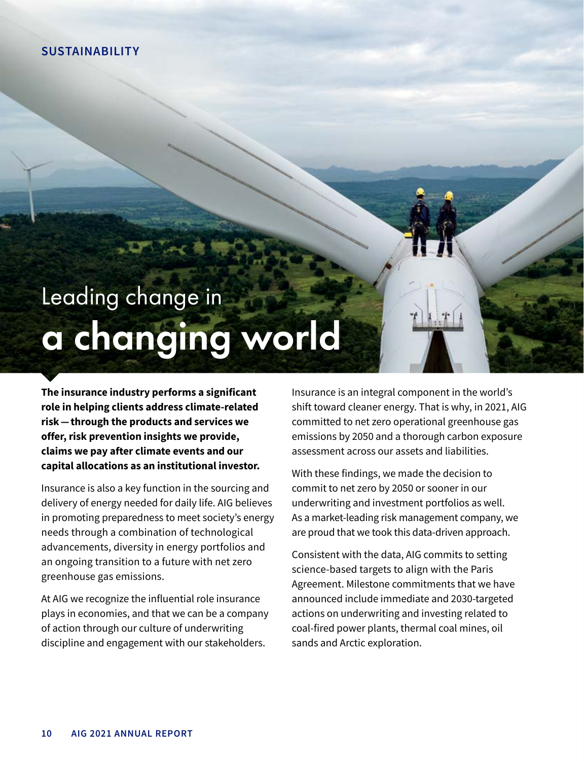## **SUSTAINABILITY**

## Leading change in a changing world

**The insurance industry performs a significant role in helping clients address climate-related risk — through the products and services we offer, risk prevention insights we provide, claims we pay after climate events and our capital allocations as an institutional investor.**

Insurance is also a key function in the sourcing and delivery of energy needed for daily life. AIG believes in promoting preparedness to meet society's energy needs through a combination of technological advancements, diversity in energy portfolios and an ongoing transition to a future with net zero greenhouse gas emissions.

At AIG we recognize the influential role insurance plays in economies, and that we can be a company of action through our culture of underwriting discipline and engagement with our stakeholders.

Insurance is an integral component in the world's shift toward cleaner energy. That is why, in 2021, AIG committed to net zero operational greenhouse gas emissions by 2050 and a thorough carbon exposure assessment across our assets and liabilities.

With these findings, we made the decision to commit to net zero by 2050 or sooner in our underwriting and investment portfolios as well. As a market-leading risk management company, we are proud that we took this data-driven approach.

Consistent with the data, AIG commits to setting science-based targets to align with the Paris Agreement. Milestone commitments that we have announced include immediate and 2030-targeted actions on underwriting and investing related to coal-fired power plants, thermal coal mines, oil sands and Arctic exploration.